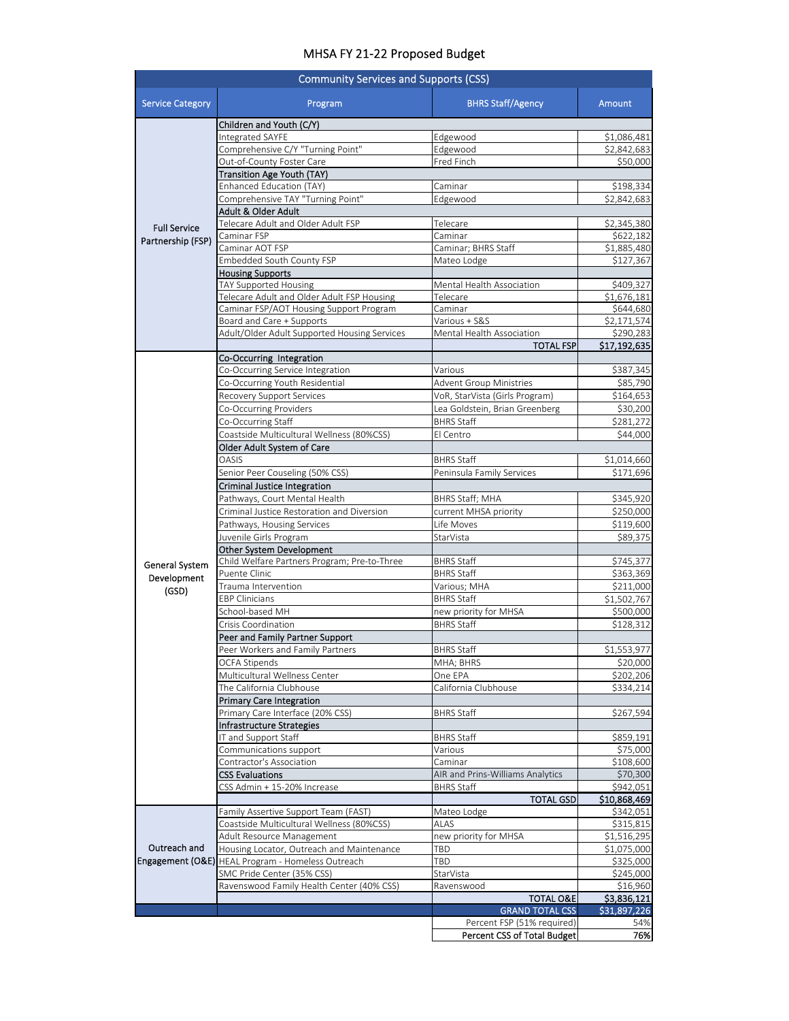## MHSA FY 21‐22 Proposed Budget

| <b>BHRS Staff/Agency</b><br><b>Service Category</b><br>Program<br>Amount<br>Children and Youth (C/Y)<br>Integrated SAYFE<br>Edgewood<br>\$1,086,481<br>Comprehensive C/Y "Turning Point"<br>Edgewood<br>\$2,842,683<br>Out-of-County Foster Care<br>Fred Finch<br>Transition Age Youth (TAY)<br>Enhanced Education (TAY)<br>Caminar<br>\$198,334<br>Comprehensive TAY "Turning Point"<br>Edgewood<br>\$2,842,683<br>Adult & Older Adult<br>Telecare Adult and Older Adult FSP<br>Telecare<br><b>Full Service</b><br>Caminar FSP<br>Caminar<br>Partnership (FSP)<br>Caminar AOT FSP<br>Caminar; BHRS Staff<br>Embedded South County FSP<br>\$127,367<br>Mateo Lodge<br><b>Housing Supports</b><br>TAY Supported Housing<br>Mental Health Association<br>\$409,327<br>Telecare Adult and Older Adult FSP Housing<br>Telecare<br>Caminar FSP/AOT Housing Support Program<br>Caminar<br>Board and Care + Supports<br>Various + S&S<br>\$2,171,574<br>Adult/Older Adult Supported Housing Services<br>Mental Health Association<br>\$290,283<br><b>TOTAL FSP</b><br>Co-Occurring Integration<br>Co-Occurring Service Integration<br>Various<br>\$387,345<br>Co-Occurring Youth Residential<br><b>Advent Group Ministries</b><br>\$85,790<br>Recovery Support Services<br>VoR, StarVista (Girls Program)<br>\$164,653<br>Co-Occurring Providers<br>Lea Goldstein, Brian Greenberg<br>Co-Occurring Staff<br><b>BHRS Staff</b><br>Coastside Multicultural Wellness (80%CSS)<br>El Centro<br>\$44,000<br>Older Adult System of Care<br><b>OASIS</b><br><b>BHRS Staff</b><br>Senior Peer Couseling (50% CSS)<br>Peninsula Family Services<br>\$171,696<br>Criminal Justice Integration<br>Pathways, Court Mental Health<br><b>BHRS Staff; MHA</b><br>Criminal Justice Restoration and Diversion<br>current MHSA priority<br>Pathways, Housing Services<br>Life Moves<br>Juvenile Girls Program<br>StarVista<br>\$89,375<br>Other System Development<br>Child Welfare Partners Program; Pre-to-Three<br>\$745,377<br>BHRS Staff<br>General System<br>\$363,369<br>Puente Clinic<br><b>BHRS Staff</b><br>Development<br>\$211,000<br>Trauma Intervention<br>Various; MHA<br>(GSD)<br><b>BHRS Staff</b><br>\$1,502,767<br><b>EBP Clinicians</b><br>School-based MH<br>new priority for MHSA<br>\$128,312<br>Crisis Coordination<br><b>BHRS Staff</b><br>Peer and Family Partner Support<br>Peer Workers and Family Partners<br><b>BHRS Staff</b><br>OCFA Stipends<br>MHA; BHRS<br>Multicultural Wellness Center<br>One EPA<br>The California Clubhouse<br>California Clubhouse<br>\$334,214<br><b>Primary Care Integration</b><br>Primary Care Interface (20% CSS)<br>\$267,594<br>BHRS Staff<br>Infrastructure Strategies<br>IT and Support Staff<br><b>BHRS Staff</b><br>\$859,191<br>Communications support<br>\$75,000<br>Various<br>Contractor's Association<br>Caminar<br>\$108,600<br><b>CSS Evaluations</b><br>AIR and Prins-Williams Analytics<br>\$70,300<br>CSS Admin + 15-20% Increase<br><b>BHRS Staff</b><br>\$942,051<br><b>TOTAL GSD</b><br>Family Assertive Support Team (FAST)<br>Mateo Lodge<br>\$342,051<br>Coastside Multicultural Wellness (80%CSS)<br><b>ALAS</b><br>\$315,815<br>Adult Resource Management<br>new priority for MHSA<br>\$1,516,295<br>Outreach and<br>Housing Locator, Outreach and Maintenance<br>TBD<br><b>Engagement (O&amp;E)</b> HEAL Program - Homeless Outreach<br>TBD<br>SMC Pride Center (35% CSS)<br>StarVista<br>Ravenswood Family Health Center (40% CSS)<br>Ravenswood<br><b>TOTAL O&amp;E</b><br><b>GRAND TOTAL CSS</b><br>Percent FSP (51% required)<br>Percent CSS of Total Budget | <b>Community Services and Supports (CSS)</b> |  |  |  |  |
|-------------------------------------------------------------------------------------------------------------------------------------------------------------------------------------------------------------------------------------------------------------------------------------------------------------------------------------------------------------------------------------------------------------------------------------------------------------------------------------------------------------------------------------------------------------------------------------------------------------------------------------------------------------------------------------------------------------------------------------------------------------------------------------------------------------------------------------------------------------------------------------------------------------------------------------------------------------------------------------------------------------------------------------------------------------------------------------------------------------------------------------------------------------------------------------------------------------------------------------------------------------------------------------------------------------------------------------------------------------------------------------------------------------------------------------------------------------------------------------------------------------------------------------------------------------------------------------------------------------------------------------------------------------------------------------------------------------------------------------------------------------------------------------------------------------------------------------------------------------------------------------------------------------------------------------------------------------------------------------------------------------------------------------------------------------------------------------------------------------------------------------------------------------------------------------------------------------------------------------------------------------------------------------------------------------------------------------------------------------------------------------------------------------------------------------------------------------------------------------------------------------------------------------------------------------------------------------------------------------------------------------------------------------------------------------------------------------------------------------------------------------------------------------------------------------------------------------------------------------------------------------------------------------------------------------------------------------------------------------------------------------------------------------------------------------------------------------------------------------------------------------------------------------------------------------------------------------------------------------------------------------------------------------------------------------------------------------------------------------------------------------------------------------------------------------------------------------------------------------------------------------------------------------------------------------------------------------------------------------------------------|----------------------------------------------|--|--|--|--|
| \$50,000                                                                                                                                                                                                                                                                                                                                                                                                                                                                                                                                                                                                                                                                                                                                                                                                                                                                                                                                                                                                                                                                                                                                                                                                                                                                                                                                                                                                                                                                                                                                                                                                                                                                                                                                                                                                                                                                                                                                                                                                                                                                                                                                                                                                                                                                                                                                                                                                                                                                                                                                                                                                                                                                                                                                                                                                                                                                                                                                                                                                                                                                                                                                                                                                                                                                                                                                                                                                                                                                                                                                                                                                                      |                                              |  |  |  |  |
|                                                                                                                                                                                                                                                                                                                                                                                                                                                                                                                                                                                                                                                                                                                                                                                                                                                                                                                                                                                                                                                                                                                                                                                                                                                                                                                                                                                                                                                                                                                                                                                                                                                                                                                                                                                                                                                                                                                                                                                                                                                                                                                                                                                                                                                                                                                                                                                                                                                                                                                                                                                                                                                                                                                                                                                                                                                                                                                                                                                                                                                                                                                                                                                                                                                                                                                                                                                                                                                                                                                                                                                                                               |                                              |  |  |  |  |
|                                                                                                                                                                                                                                                                                                                                                                                                                                                                                                                                                                                                                                                                                                                                                                                                                                                                                                                                                                                                                                                                                                                                                                                                                                                                                                                                                                                                                                                                                                                                                                                                                                                                                                                                                                                                                                                                                                                                                                                                                                                                                                                                                                                                                                                                                                                                                                                                                                                                                                                                                                                                                                                                                                                                                                                                                                                                                                                                                                                                                                                                                                                                                                                                                                                                                                                                                                                                                                                                                                                                                                                                                               |                                              |  |  |  |  |
| \$2,345,380<br>\$622,182                                                                                                                                                                                                                                                                                                                                                                                                                                                                                                                                                                                                                                                                                                                                                                                                                                                                                                                                                                                                                                                                                                                                                                                                                                                                                                                                                                                                                                                                                                                                                                                                                                                                                                                                                                                                                                                                                                                                                                                                                                                                                                                                                                                                                                                                                                                                                                                                                                                                                                                                                                                                                                                                                                                                                                                                                                                                                                                                                                                                                                                                                                                                                                                                                                                                                                                                                                                                                                                                                                                                                                                                      |                                              |  |  |  |  |
|                                                                                                                                                                                                                                                                                                                                                                                                                                                                                                                                                                                                                                                                                                                                                                                                                                                                                                                                                                                                                                                                                                                                                                                                                                                                                                                                                                                                                                                                                                                                                                                                                                                                                                                                                                                                                                                                                                                                                                                                                                                                                                                                                                                                                                                                                                                                                                                                                                                                                                                                                                                                                                                                                                                                                                                                                                                                                                                                                                                                                                                                                                                                                                                                                                                                                                                                                                                                                                                                                                                                                                                                                               |                                              |  |  |  |  |
|                                                                                                                                                                                                                                                                                                                                                                                                                                                                                                                                                                                                                                                                                                                                                                                                                                                                                                                                                                                                                                                                                                                                                                                                                                                                                                                                                                                                                                                                                                                                                                                                                                                                                                                                                                                                                                                                                                                                                                                                                                                                                                                                                                                                                                                                                                                                                                                                                                                                                                                                                                                                                                                                                                                                                                                                                                                                                                                                                                                                                                                                                                                                                                                                                                                                                                                                                                                                                                                                                                                                                                                                                               |                                              |  |  |  |  |
|                                                                                                                                                                                                                                                                                                                                                                                                                                                                                                                                                                                                                                                                                                                                                                                                                                                                                                                                                                                                                                                                                                                                                                                                                                                                                                                                                                                                                                                                                                                                                                                                                                                                                                                                                                                                                                                                                                                                                                                                                                                                                                                                                                                                                                                                                                                                                                                                                                                                                                                                                                                                                                                                                                                                                                                                                                                                                                                                                                                                                                                                                                                                                                                                                                                                                                                                                                                                                                                                                                                                                                                                                               |                                              |  |  |  |  |
|                                                                                                                                                                                                                                                                                                                                                                                                                                                                                                                                                                                                                                                                                                                                                                                                                                                                                                                                                                                                                                                                                                                                                                                                                                                                                                                                                                                                                                                                                                                                                                                                                                                                                                                                                                                                                                                                                                                                                                                                                                                                                                                                                                                                                                                                                                                                                                                                                                                                                                                                                                                                                                                                                                                                                                                                                                                                                                                                                                                                                                                                                                                                                                                                                                                                                                                                                                                                                                                                                                                                                                                                                               |                                              |  |  |  |  |
| \$1,885,480<br>\$1,676,181<br>\$644,680<br>\$17,192,635<br>\$30,200<br>\$281,272<br>\$1,014,660<br>\$345,920<br>\$250,000<br>\$119,600<br>\$500,000<br>\$1,553,977<br>\$20,000<br>\$202,206<br>\$10,868,469<br>\$1,075,000<br>\$325,000<br>\$245,000<br>\$16,960<br>\$3,836,121<br>\$31,897,226<br>54%<br>76%                                                                                                                                                                                                                                                                                                                                                                                                                                                                                                                                                                                                                                                                                                                                                                                                                                                                                                                                                                                                                                                                                                                                                                                                                                                                                                                                                                                                                                                                                                                                                                                                                                                                                                                                                                                                                                                                                                                                                                                                                                                                                                                                                                                                                                                                                                                                                                                                                                                                                                                                                                                                                                                                                                                                                                                                                                                                                                                                                                                                                                                                                                                                                                                                                                                                                                                 |                                              |  |  |  |  |
|                                                                                                                                                                                                                                                                                                                                                                                                                                                                                                                                                                                                                                                                                                                                                                                                                                                                                                                                                                                                                                                                                                                                                                                                                                                                                                                                                                                                                                                                                                                                                                                                                                                                                                                                                                                                                                                                                                                                                                                                                                                                                                                                                                                                                                                                                                                                                                                                                                                                                                                                                                                                                                                                                                                                                                                                                                                                                                                                                                                                                                                                                                                                                                                                                                                                                                                                                                                                                                                                                                                                                                                                                               |                                              |  |  |  |  |
|                                                                                                                                                                                                                                                                                                                                                                                                                                                                                                                                                                                                                                                                                                                                                                                                                                                                                                                                                                                                                                                                                                                                                                                                                                                                                                                                                                                                                                                                                                                                                                                                                                                                                                                                                                                                                                                                                                                                                                                                                                                                                                                                                                                                                                                                                                                                                                                                                                                                                                                                                                                                                                                                                                                                                                                                                                                                                                                                                                                                                                                                                                                                                                                                                                                                                                                                                                                                                                                                                                                                                                                                                               |                                              |  |  |  |  |
|                                                                                                                                                                                                                                                                                                                                                                                                                                                                                                                                                                                                                                                                                                                                                                                                                                                                                                                                                                                                                                                                                                                                                                                                                                                                                                                                                                                                                                                                                                                                                                                                                                                                                                                                                                                                                                                                                                                                                                                                                                                                                                                                                                                                                                                                                                                                                                                                                                                                                                                                                                                                                                                                                                                                                                                                                                                                                                                                                                                                                                                                                                                                                                                                                                                                                                                                                                                                                                                                                                                                                                                                                               |                                              |  |  |  |  |
|                                                                                                                                                                                                                                                                                                                                                                                                                                                                                                                                                                                                                                                                                                                                                                                                                                                                                                                                                                                                                                                                                                                                                                                                                                                                                                                                                                                                                                                                                                                                                                                                                                                                                                                                                                                                                                                                                                                                                                                                                                                                                                                                                                                                                                                                                                                                                                                                                                                                                                                                                                                                                                                                                                                                                                                                                                                                                                                                                                                                                                                                                                                                                                                                                                                                                                                                                                                                                                                                                                                                                                                                                               |                                              |  |  |  |  |
|                                                                                                                                                                                                                                                                                                                                                                                                                                                                                                                                                                                                                                                                                                                                                                                                                                                                                                                                                                                                                                                                                                                                                                                                                                                                                                                                                                                                                                                                                                                                                                                                                                                                                                                                                                                                                                                                                                                                                                                                                                                                                                                                                                                                                                                                                                                                                                                                                                                                                                                                                                                                                                                                                                                                                                                                                                                                                                                                                                                                                                                                                                                                                                                                                                                                                                                                                                                                                                                                                                                                                                                                                               |                                              |  |  |  |  |
|                                                                                                                                                                                                                                                                                                                                                                                                                                                                                                                                                                                                                                                                                                                                                                                                                                                                                                                                                                                                                                                                                                                                                                                                                                                                                                                                                                                                                                                                                                                                                                                                                                                                                                                                                                                                                                                                                                                                                                                                                                                                                                                                                                                                                                                                                                                                                                                                                                                                                                                                                                                                                                                                                                                                                                                                                                                                                                                                                                                                                                                                                                                                                                                                                                                                                                                                                                                                                                                                                                                                                                                                                               |                                              |  |  |  |  |
|                                                                                                                                                                                                                                                                                                                                                                                                                                                                                                                                                                                                                                                                                                                                                                                                                                                                                                                                                                                                                                                                                                                                                                                                                                                                                                                                                                                                                                                                                                                                                                                                                                                                                                                                                                                                                                                                                                                                                                                                                                                                                                                                                                                                                                                                                                                                                                                                                                                                                                                                                                                                                                                                                                                                                                                                                                                                                                                                                                                                                                                                                                                                                                                                                                                                                                                                                                                                                                                                                                                                                                                                                               |                                              |  |  |  |  |
|                                                                                                                                                                                                                                                                                                                                                                                                                                                                                                                                                                                                                                                                                                                                                                                                                                                                                                                                                                                                                                                                                                                                                                                                                                                                                                                                                                                                                                                                                                                                                                                                                                                                                                                                                                                                                                                                                                                                                                                                                                                                                                                                                                                                                                                                                                                                                                                                                                                                                                                                                                                                                                                                                                                                                                                                                                                                                                                                                                                                                                                                                                                                                                                                                                                                                                                                                                                                                                                                                                                                                                                                                               |                                              |  |  |  |  |
|                                                                                                                                                                                                                                                                                                                                                                                                                                                                                                                                                                                                                                                                                                                                                                                                                                                                                                                                                                                                                                                                                                                                                                                                                                                                                                                                                                                                                                                                                                                                                                                                                                                                                                                                                                                                                                                                                                                                                                                                                                                                                                                                                                                                                                                                                                                                                                                                                                                                                                                                                                                                                                                                                                                                                                                                                                                                                                                                                                                                                                                                                                                                                                                                                                                                                                                                                                                                                                                                                                                                                                                                                               |                                              |  |  |  |  |
|                                                                                                                                                                                                                                                                                                                                                                                                                                                                                                                                                                                                                                                                                                                                                                                                                                                                                                                                                                                                                                                                                                                                                                                                                                                                                                                                                                                                                                                                                                                                                                                                                                                                                                                                                                                                                                                                                                                                                                                                                                                                                                                                                                                                                                                                                                                                                                                                                                                                                                                                                                                                                                                                                                                                                                                                                                                                                                                                                                                                                                                                                                                                                                                                                                                                                                                                                                                                                                                                                                                                                                                                                               |                                              |  |  |  |  |
|                                                                                                                                                                                                                                                                                                                                                                                                                                                                                                                                                                                                                                                                                                                                                                                                                                                                                                                                                                                                                                                                                                                                                                                                                                                                                                                                                                                                                                                                                                                                                                                                                                                                                                                                                                                                                                                                                                                                                                                                                                                                                                                                                                                                                                                                                                                                                                                                                                                                                                                                                                                                                                                                                                                                                                                                                                                                                                                                                                                                                                                                                                                                                                                                                                                                                                                                                                                                                                                                                                                                                                                                                               |                                              |  |  |  |  |
|                                                                                                                                                                                                                                                                                                                                                                                                                                                                                                                                                                                                                                                                                                                                                                                                                                                                                                                                                                                                                                                                                                                                                                                                                                                                                                                                                                                                                                                                                                                                                                                                                                                                                                                                                                                                                                                                                                                                                                                                                                                                                                                                                                                                                                                                                                                                                                                                                                                                                                                                                                                                                                                                                                                                                                                                                                                                                                                                                                                                                                                                                                                                                                                                                                                                                                                                                                                                                                                                                                                                                                                                                               |                                              |  |  |  |  |
|                                                                                                                                                                                                                                                                                                                                                                                                                                                                                                                                                                                                                                                                                                                                                                                                                                                                                                                                                                                                                                                                                                                                                                                                                                                                                                                                                                                                                                                                                                                                                                                                                                                                                                                                                                                                                                                                                                                                                                                                                                                                                                                                                                                                                                                                                                                                                                                                                                                                                                                                                                                                                                                                                                                                                                                                                                                                                                                                                                                                                                                                                                                                                                                                                                                                                                                                                                                                                                                                                                                                                                                                                               |                                              |  |  |  |  |
|                                                                                                                                                                                                                                                                                                                                                                                                                                                                                                                                                                                                                                                                                                                                                                                                                                                                                                                                                                                                                                                                                                                                                                                                                                                                                                                                                                                                                                                                                                                                                                                                                                                                                                                                                                                                                                                                                                                                                                                                                                                                                                                                                                                                                                                                                                                                                                                                                                                                                                                                                                                                                                                                                                                                                                                                                                                                                                                                                                                                                                                                                                                                                                                                                                                                                                                                                                                                                                                                                                                                                                                                                               |                                              |  |  |  |  |
|                                                                                                                                                                                                                                                                                                                                                                                                                                                                                                                                                                                                                                                                                                                                                                                                                                                                                                                                                                                                                                                                                                                                                                                                                                                                                                                                                                                                                                                                                                                                                                                                                                                                                                                                                                                                                                                                                                                                                                                                                                                                                                                                                                                                                                                                                                                                                                                                                                                                                                                                                                                                                                                                                                                                                                                                                                                                                                                                                                                                                                                                                                                                                                                                                                                                                                                                                                                                                                                                                                                                                                                                                               |                                              |  |  |  |  |
|                                                                                                                                                                                                                                                                                                                                                                                                                                                                                                                                                                                                                                                                                                                                                                                                                                                                                                                                                                                                                                                                                                                                                                                                                                                                                                                                                                                                                                                                                                                                                                                                                                                                                                                                                                                                                                                                                                                                                                                                                                                                                                                                                                                                                                                                                                                                                                                                                                                                                                                                                                                                                                                                                                                                                                                                                                                                                                                                                                                                                                                                                                                                                                                                                                                                                                                                                                                                                                                                                                                                                                                                                               |                                              |  |  |  |  |
|                                                                                                                                                                                                                                                                                                                                                                                                                                                                                                                                                                                                                                                                                                                                                                                                                                                                                                                                                                                                                                                                                                                                                                                                                                                                                                                                                                                                                                                                                                                                                                                                                                                                                                                                                                                                                                                                                                                                                                                                                                                                                                                                                                                                                                                                                                                                                                                                                                                                                                                                                                                                                                                                                                                                                                                                                                                                                                                                                                                                                                                                                                                                                                                                                                                                                                                                                                                                                                                                                                                                                                                                                               |                                              |  |  |  |  |
|                                                                                                                                                                                                                                                                                                                                                                                                                                                                                                                                                                                                                                                                                                                                                                                                                                                                                                                                                                                                                                                                                                                                                                                                                                                                                                                                                                                                                                                                                                                                                                                                                                                                                                                                                                                                                                                                                                                                                                                                                                                                                                                                                                                                                                                                                                                                                                                                                                                                                                                                                                                                                                                                                                                                                                                                                                                                                                                                                                                                                                                                                                                                                                                                                                                                                                                                                                                                                                                                                                                                                                                                                               |                                              |  |  |  |  |
|                                                                                                                                                                                                                                                                                                                                                                                                                                                                                                                                                                                                                                                                                                                                                                                                                                                                                                                                                                                                                                                                                                                                                                                                                                                                                                                                                                                                                                                                                                                                                                                                                                                                                                                                                                                                                                                                                                                                                                                                                                                                                                                                                                                                                                                                                                                                                                                                                                                                                                                                                                                                                                                                                                                                                                                                                                                                                                                                                                                                                                                                                                                                                                                                                                                                                                                                                                                                                                                                                                                                                                                                                               |                                              |  |  |  |  |
|                                                                                                                                                                                                                                                                                                                                                                                                                                                                                                                                                                                                                                                                                                                                                                                                                                                                                                                                                                                                                                                                                                                                                                                                                                                                                                                                                                                                                                                                                                                                                                                                                                                                                                                                                                                                                                                                                                                                                                                                                                                                                                                                                                                                                                                                                                                                                                                                                                                                                                                                                                                                                                                                                                                                                                                                                                                                                                                                                                                                                                                                                                                                                                                                                                                                                                                                                                                                                                                                                                                                                                                                                               |                                              |  |  |  |  |
|                                                                                                                                                                                                                                                                                                                                                                                                                                                                                                                                                                                                                                                                                                                                                                                                                                                                                                                                                                                                                                                                                                                                                                                                                                                                                                                                                                                                                                                                                                                                                                                                                                                                                                                                                                                                                                                                                                                                                                                                                                                                                                                                                                                                                                                                                                                                                                                                                                                                                                                                                                                                                                                                                                                                                                                                                                                                                                                                                                                                                                                                                                                                                                                                                                                                                                                                                                                                                                                                                                                                                                                                                               |                                              |  |  |  |  |
|                                                                                                                                                                                                                                                                                                                                                                                                                                                                                                                                                                                                                                                                                                                                                                                                                                                                                                                                                                                                                                                                                                                                                                                                                                                                                                                                                                                                                                                                                                                                                                                                                                                                                                                                                                                                                                                                                                                                                                                                                                                                                                                                                                                                                                                                                                                                                                                                                                                                                                                                                                                                                                                                                                                                                                                                                                                                                                                                                                                                                                                                                                                                                                                                                                                                                                                                                                                                                                                                                                                                                                                                                               |                                              |  |  |  |  |
|                                                                                                                                                                                                                                                                                                                                                                                                                                                                                                                                                                                                                                                                                                                                                                                                                                                                                                                                                                                                                                                                                                                                                                                                                                                                                                                                                                                                                                                                                                                                                                                                                                                                                                                                                                                                                                                                                                                                                                                                                                                                                                                                                                                                                                                                                                                                                                                                                                                                                                                                                                                                                                                                                                                                                                                                                                                                                                                                                                                                                                                                                                                                                                                                                                                                                                                                                                                                                                                                                                                                                                                                                               |                                              |  |  |  |  |
|                                                                                                                                                                                                                                                                                                                                                                                                                                                                                                                                                                                                                                                                                                                                                                                                                                                                                                                                                                                                                                                                                                                                                                                                                                                                                                                                                                                                                                                                                                                                                                                                                                                                                                                                                                                                                                                                                                                                                                                                                                                                                                                                                                                                                                                                                                                                                                                                                                                                                                                                                                                                                                                                                                                                                                                                                                                                                                                                                                                                                                                                                                                                                                                                                                                                                                                                                                                                                                                                                                                                                                                                                               |                                              |  |  |  |  |
|                                                                                                                                                                                                                                                                                                                                                                                                                                                                                                                                                                                                                                                                                                                                                                                                                                                                                                                                                                                                                                                                                                                                                                                                                                                                                                                                                                                                                                                                                                                                                                                                                                                                                                                                                                                                                                                                                                                                                                                                                                                                                                                                                                                                                                                                                                                                                                                                                                                                                                                                                                                                                                                                                                                                                                                                                                                                                                                                                                                                                                                                                                                                                                                                                                                                                                                                                                                                                                                                                                                                                                                                                               |                                              |  |  |  |  |
|                                                                                                                                                                                                                                                                                                                                                                                                                                                                                                                                                                                                                                                                                                                                                                                                                                                                                                                                                                                                                                                                                                                                                                                                                                                                                                                                                                                                                                                                                                                                                                                                                                                                                                                                                                                                                                                                                                                                                                                                                                                                                                                                                                                                                                                                                                                                                                                                                                                                                                                                                                                                                                                                                                                                                                                                                                                                                                                                                                                                                                                                                                                                                                                                                                                                                                                                                                                                                                                                                                                                                                                                                               |                                              |  |  |  |  |
|                                                                                                                                                                                                                                                                                                                                                                                                                                                                                                                                                                                                                                                                                                                                                                                                                                                                                                                                                                                                                                                                                                                                                                                                                                                                                                                                                                                                                                                                                                                                                                                                                                                                                                                                                                                                                                                                                                                                                                                                                                                                                                                                                                                                                                                                                                                                                                                                                                                                                                                                                                                                                                                                                                                                                                                                                                                                                                                                                                                                                                                                                                                                                                                                                                                                                                                                                                                                                                                                                                                                                                                                                               |                                              |  |  |  |  |
|                                                                                                                                                                                                                                                                                                                                                                                                                                                                                                                                                                                                                                                                                                                                                                                                                                                                                                                                                                                                                                                                                                                                                                                                                                                                                                                                                                                                                                                                                                                                                                                                                                                                                                                                                                                                                                                                                                                                                                                                                                                                                                                                                                                                                                                                                                                                                                                                                                                                                                                                                                                                                                                                                                                                                                                                                                                                                                                                                                                                                                                                                                                                                                                                                                                                                                                                                                                                                                                                                                                                                                                                                               |                                              |  |  |  |  |
|                                                                                                                                                                                                                                                                                                                                                                                                                                                                                                                                                                                                                                                                                                                                                                                                                                                                                                                                                                                                                                                                                                                                                                                                                                                                                                                                                                                                                                                                                                                                                                                                                                                                                                                                                                                                                                                                                                                                                                                                                                                                                                                                                                                                                                                                                                                                                                                                                                                                                                                                                                                                                                                                                                                                                                                                                                                                                                                                                                                                                                                                                                                                                                                                                                                                                                                                                                                                                                                                                                                                                                                                                               |                                              |  |  |  |  |
|                                                                                                                                                                                                                                                                                                                                                                                                                                                                                                                                                                                                                                                                                                                                                                                                                                                                                                                                                                                                                                                                                                                                                                                                                                                                                                                                                                                                                                                                                                                                                                                                                                                                                                                                                                                                                                                                                                                                                                                                                                                                                                                                                                                                                                                                                                                                                                                                                                                                                                                                                                                                                                                                                                                                                                                                                                                                                                                                                                                                                                                                                                                                                                                                                                                                                                                                                                                                                                                                                                                                                                                                                               |                                              |  |  |  |  |
|                                                                                                                                                                                                                                                                                                                                                                                                                                                                                                                                                                                                                                                                                                                                                                                                                                                                                                                                                                                                                                                                                                                                                                                                                                                                                                                                                                                                                                                                                                                                                                                                                                                                                                                                                                                                                                                                                                                                                                                                                                                                                                                                                                                                                                                                                                                                                                                                                                                                                                                                                                                                                                                                                                                                                                                                                                                                                                                                                                                                                                                                                                                                                                                                                                                                                                                                                                                                                                                                                                                                                                                                                               |                                              |  |  |  |  |
|                                                                                                                                                                                                                                                                                                                                                                                                                                                                                                                                                                                                                                                                                                                                                                                                                                                                                                                                                                                                                                                                                                                                                                                                                                                                                                                                                                                                                                                                                                                                                                                                                                                                                                                                                                                                                                                                                                                                                                                                                                                                                                                                                                                                                                                                                                                                                                                                                                                                                                                                                                                                                                                                                                                                                                                                                                                                                                                                                                                                                                                                                                                                                                                                                                                                                                                                                                                                                                                                                                                                                                                                                               |                                              |  |  |  |  |
|                                                                                                                                                                                                                                                                                                                                                                                                                                                                                                                                                                                                                                                                                                                                                                                                                                                                                                                                                                                                                                                                                                                                                                                                                                                                                                                                                                                                                                                                                                                                                                                                                                                                                                                                                                                                                                                                                                                                                                                                                                                                                                                                                                                                                                                                                                                                                                                                                                                                                                                                                                                                                                                                                                                                                                                                                                                                                                                                                                                                                                                                                                                                                                                                                                                                                                                                                                                                                                                                                                                                                                                                                               |                                              |  |  |  |  |
|                                                                                                                                                                                                                                                                                                                                                                                                                                                                                                                                                                                                                                                                                                                                                                                                                                                                                                                                                                                                                                                                                                                                                                                                                                                                                                                                                                                                                                                                                                                                                                                                                                                                                                                                                                                                                                                                                                                                                                                                                                                                                                                                                                                                                                                                                                                                                                                                                                                                                                                                                                                                                                                                                                                                                                                                                                                                                                                                                                                                                                                                                                                                                                                                                                                                                                                                                                                                                                                                                                                                                                                                                               |                                              |  |  |  |  |
|                                                                                                                                                                                                                                                                                                                                                                                                                                                                                                                                                                                                                                                                                                                                                                                                                                                                                                                                                                                                                                                                                                                                                                                                                                                                                                                                                                                                                                                                                                                                                                                                                                                                                                                                                                                                                                                                                                                                                                                                                                                                                                                                                                                                                                                                                                                                                                                                                                                                                                                                                                                                                                                                                                                                                                                                                                                                                                                                                                                                                                                                                                                                                                                                                                                                                                                                                                                                                                                                                                                                                                                                                               |                                              |  |  |  |  |
|                                                                                                                                                                                                                                                                                                                                                                                                                                                                                                                                                                                                                                                                                                                                                                                                                                                                                                                                                                                                                                                                                                                                                                                                                                                                                                                                                                                                                                                                                                                                                                                                                                                                                                                                                                                                                                                                                                                                                                                                                                                                                                                                                                                                                                                                                                                                                                                                                                                                                                                                                                                                                                                                                                                                                                                                                                                                                                                                                                                                                                                                                                                                                                                                                                                                                                                                                                                                                                                                                                                                                                                                                               |                                              |  |  |  |  |
|                                                                                                                                                                                                                                                                                                                                                                                                                                                                                                                                                                                                                                                                                                                                                                                                                                                                                                                                                                                                                                                                                                                                                                                                                                                                                                                                                                                                                                                                                                                                                                                                                                                                                                                                                                                                                                                                                                                                                                                                                                                                                                                                                                                                                                                                                                                                                                                                                                                                                                                                                                                                                                                                                                                                                                                                                                                                                                                                                                                                                                                                                                                                                                                                                                                                                                                                                                                                                                                                                                                                                                                                                               |                                              |  |  |  |  |
|                                                                                                                                                                                                                                                                                                                                                                                                                                                                                                                                                                                                                                                                                                                                                                                                                                                                                                                                                                                                                                                                                                                                                                                                                                                                                                                                                                                                                                                                                                                                                                                                                                                                                                                                                                                                                                                                                                                                                                                                                                                                                                                                                                                                                                                                                                                                                                                                                                                                                                                                                                                                                                                                                                                                                                                                                                                                                                                                                                                                                                                                                                                                                                                                                                                                                                                                                                                                                                                                                                                                                                                                                               |                                              |  |  |  |  |
|                                                                                                                                                                                                                                                                                                                                                                                                                                                                                                                                                                                                                                                                                                                                                                                                                                                                                                                                                                                                                                                                                                                                                                                                                                                                                                                                                                                                                                                                                                                                                                                                                                                                                                                                                                                                                                                                                                                                                                                                                                                                                                                                                                                                                                                                                                                                                                                                                                                                                                                                                                                                                                                                                                                                                                                                                                                                                                                                                                                                                                                                                                                                                                                                                                                                                                                                                                                                                                                                                                                                                                                                                               |                                              |  |  |  |  |
|                                                                                                                                                                                                                                                                                                                                                                                                                                                                                                                                                                                                                                                                                                                                                                                                                                                                                                                                                                                                                                                                                                                                                                                                                                                                                                                                                                                                                                                                                                                                                                                                                                                                                                                                                                                                                                                                                                                                                                                                                                                                                                                                                                                                                                                                                                                                                                                                                                                                                                                                                                                                                                                                                                                                                                                                                                                                                                                                                                                                                                                                                                                                                                                                                                                                                                                                                                                                                                                                                                                                                                                                                               |                                              |  |  |  |  |
|                                                                                                                                                                                                                                                                                                                                                                                                                                                                                                                                                                                                                                                                                                                                                                                                                                                                                                                                                                                                                                                                                                                                                                                                                                                                                                                                                                                                                                                                                                                                                                                                                                                                                                                                                                                                                                                                                                                                                                                                                                                                                                                                                                                                                                                                                                                                                                                                                                                                                                                                                                                                                                                                                                                                                                                                                                                                                                                                                                                                                                                                                                                                                                                                                                                                                                                                                                                                                                                                                                                                                                                                                               |                                              |  |  |  |  |
|                                                                                                                                                                                                                                                                                                                                                                                                                                                                                                                                                                                                                                                                                                                                                                                                                                                                                                                                                                                                                                                                                                                                                                                                                                                                                                                                                                                                                                                                                                                                                                                                                                                                                                                                                                                                                                                                                                                                                                                                                                                                                                                                                                                                                                                                                                                                                                                                                                                                                                                                                                                                                                                                                                                                                                                                                                                                                                                                                                                                                                                                                                                                                                                                                                                                                                                                                                                                                                                                                                                                                                                                                               |                                              |  |  |  |  |
|                                                                                                                                                                                                                                                                                                                                                                                                                                                                                                                                                                                                                                                                                                                                                                                                                                                                                                                                                                                                                                                                                                                                                                                                                                                                                                                                                                                                                                                                                                                                                                                                                                                                                                                                                                                                                                                                                                                                                                                                                                                                                                                                                                                                                                                                                                                                                                                                                                                                                                                                                                                                                                                                                                                                                                                                                                                                                                                                                                                                                                                                                                                                                                                                                                                                                                                                                                                                                                                                                                                                                                                                                               |                                              |  |  |  |  |
|                                                                                                                                                                                                                                                                                                                                                                                                                                                                                                                                                                                                                                                                                                                                                                                                                                                                                                                                                                                                                                                                                                                                                                                                                                                                                                                                                                                                                                                                                                                                                                                                                                                                                                                                                                                                                                                                                                                                                                                                                                                                                                                                                                                                                                                                                                                                                                                                                                                                                                                                                                                                                                                                                                                                                                                                                                                                                                                                                                                                                                                                                                                                                                                                                                                                                                                                                                                                                                                                                                                                                                                                                               |                                              |  |  |  |  |
|                                                                                                                                                                                                                                                                                                                                                                                                                                                                                                                                                                                                                                                                                                                                                                                                                                                                                                                                                                                                                                                                                                                                                                                                                                                                                                                                                                                                                                                                                                                                                                                                                                                                                                                                                                                                                                                                                                                                                                                                                                                                                                                                                                                                                                                                                                                                                                                                                                                                                                                                                                                                                                                                                                                                                                                                                                                                                                                                                                                                                                                                                                                                                                                                                                                                                                                                                                                                                                                                                                                                                                                                                               |                                              |  |  |  |  |
|                                                                                                                                                                                                                                                                                                                                                                                                                                                                                                                                                                                                                                                                                                                                                                                                                                                                                                                                                                                                                                                                                                                                                                                                                                                                                                                                                                                                                                                                                                                                                                                                                                                                                                                                                                                                                                                                                                                                                                                                                                                                                                                                                                                                                                                                                                                                                                                                                                                                                                                                                                                                                                                                                                                                                                                                                                                                                                                                                                                                                                                                                                                                                                                                                                                                                                                                                                                                                                                                                                                                                                                                                               |                                              |  |  |  |  |
|                                                                                                                                                                                                                                                                                                                                                                                                                                                                                                                                                                                                                                                                                                                                                                                                                                                                                                                                                                                                                                                                                                                                                                                                                                                                                                                                                                                                                                                                                                                                                                                                                                                                                                                                                                                                                                                                                                                                                                                                                                                                                                                                                                                                                                                                                                                                                                                                                                                                                                                                                                                                                                                                                                                                                                                                                                                                                                                                                                                                                                                                                                                                                                                                                                                                                                                                                                                                                                                                                                                                                                                                                               |                                              |  |  |  |  |
|                                                                                                                                                                                                                                                                                                                                                                                                                                                                                                                                                                                                                                                                                                                                                                                                                                                                                                                                                                                                                                                                                                                                                                                                                                                                                                                                                                                                                                                                                                                                                                                                                                                                                                                                                                                                                                                                                                                                                                                                                                                                                                                                                                                                                                                                                                                                                                                                                                                                                                                                                                                                                                                                                                                                                                                                                                                                                                                                                                                                                                                                                                                                                                                                                                                                                                                                                                                                                                                                                                                                                                                                                               |                                              |  |  |  |  |
|                                                                                                                                                                                                                                                                                                                                                                                                                                                                                                                                                                                                                                                                                                                                                                                                                                                                                                                                                                                                                                                                                                                                                                                                                                                                                                                                                                                                                                                                                                                                                                                                                                                                                                                                                                                                                                                                                                                                                                                                                                                                                                                                                                                                                                                                                                                                                                                                                                                                                                                                                                                                                                                                                                                                                                                                                                                                                                                                                                                                                                                                                                                                                                                                                                                                                                                                                                                                                                                                                                                                                                                                                               |                                              |  |  |  |  |
|                                                                                                                                                                                                                                                                                                                                                                                                                                                                                                                                                                                                                                                                                                                                                                                                                                                                                                                                                                                                                                                                                                                                                                                                                                                                                                                                                                                                                                                                                                                                                                                                                                                                                                                                                                                                                                                                                                                                                                                                                                                                                                                                                                                                                                                                                                                                                                                                                                                                                                                                                                                                                                                                                                                                                                                                                                                                                                                                                                                                                                                                                                                                                                                                                                                                                                                                                                                                                                                                                                                                                                                                                               |                                              |  |  |  |  |
|                                                                                                                                                                                                                                                                                                                                                                                                                                                                                                                                                                                                                                                                                                                                                                                                                                                                                                                                                                                                                                                                                                                                                                                                                                                                                                                                                                                                                                                                                                                                                                                                                                                                                                                                                                                                                                                                                                                                                                                                                                                                                                                                                                                                                                                                                                                                                                                                                                                                                                                                                                                                                                                                                                                                                                                                                                                                                                                                                                                                                                                                                                                                                                                                                                                                                                                                                                                                                                                                                                                                                                                                                               |                                              |  |  |  |  |